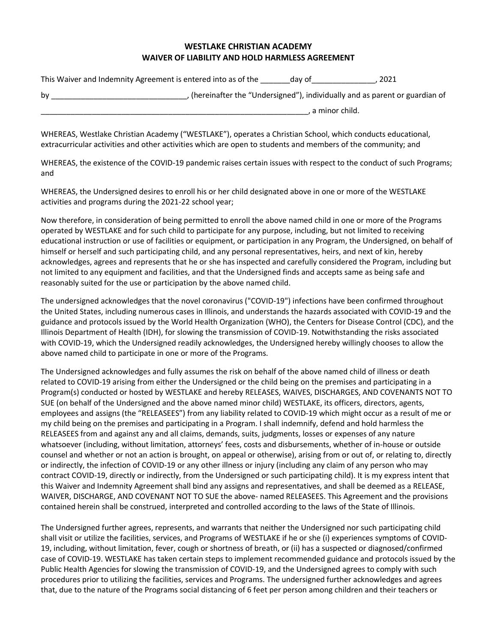## **WESTLAKE CHRISTIAN ACADEMY WAIVER OF LIABILITY AND HOLD HARMLESS AGREEMENT**

| This Waiver and Indemnity Agreement is entered into as of the | day of | 2021 |
|---------------------------------------------------------------|--------|------|
|---------------------------------------------------------------|--------|------|

| bv | , (hereinafter the "Undersigned"), individually and as parent or guardian of |
|----|------------------------------------------------------------------------------|
|    | . a minor child.                                                             |

WHEREAS, Westlake Christian Academy ("WESTLAKE"), operates a Christian School, which conducts educational, extracurricular activities and other activities which are open to students and members of the community; and

WHEREAS, the existence of the COVID-19 pandemic raises certain issues with respect to the conduct of such Programs; and

WHEREAS, the Undersigned desires to enroll his or her child designated above in one or more of the WESTLAKE activities and programs during the 2021-22 school year;

Now therefore, in consideration of being permitted to enroll the above named child in one or more of the Programs operated by WESTLAKE and for such child to participate for any purpose, including, but not limited to receiving educational instruction or use of facilities or equipment, or participation in any Program, the Undersigned, on behalf of himself or herself and such participating child, and any personal representatives, heirs, and next of kin, hereby acknowledges, agrees and represents that he or she has inspected and carefully considered the Program, including but not limited to any equipment and facilities, and that the Undersigned finds and accepts same as being safe and reasonably suited for the use or participation by the above named child.

The undersigned acknowledges that the novel coronavirus ("COVID-19") infections have been confirmed throughout the United States, including numerous cases in Illinois, and understands the hazards associated with COVID-19 and the guidance and protocols issued by the World Health Organization (WHO), the Centers for Disease Control (CDC), and the Illinois Department of Health (IDH), for slowing the transmission of COVID-19. Notwithstanding the risks associated with COVID-19, which the Undersigned readily acknowledges, the Undersigned hereby willingly chooses to allow the above named child to participate in one or more of the Programs.

The Undersigned acknowledges and fully assumes the risk on behalf of the above named child of illness or death related to COVID-19 arising from either the Undersigned or the child being on the premises and participating in a Program(s) conducted or hosted by WESTLAKE and hereby RELEASES, WAIVES, DISCHARGES, AND COVENANTS NOT TO SUE (on behalf of the Undersigned and the above named minor child) WESTLAKE, its officers, directors, agents, employees and assigns (the "RELEASEES") from any liability related to COVID-19 which might occur as a result of me or my child being on the premises and participating in a Program. I shall indemnify, defend and hold harmless the RELEASEES from and against any and all claims, demands, suits, judgments, losses or expenses of any nature whatsoever (including, without limitation, attorneys' fees, costs and disbursements, whether of in-house or outside counsel and whether or not an action is brought, on appeal or otherwise), arising from or out of, or relating to, directly or indirectly, the infection of COVID-19 or any other illness or injury (including any claim of any person who may contract COVID-19, directly or indirectly, from the Undersigned or such participating child). It is my express intent that this Waiver and Indemnity Agreement shall bind any assigns and representatives, and shall be deemed as a RELEASE, WAIVER, DISCHARGE, AND COVENANT NOT TO SUE the above- named RELEASEES. This Agreement and the provisions contained herein shall be construed, interpreted and controlled according to the laws of the State of Illinois.

The Undersigned further agrees, represents, and warrants that neither the Undersigned nor such participating child shall visit or utilize the facilities, services, and Programs of WESTLAKE if he or she (i) experiences symptoms of COVID-19, including, without limitation, fever, cough or shortness of breath, or (ii) has a suspected or diagnosed/confirmed case of COVID-19. WESTLAKE has taken certain steps to implement recommended guidance and protocols issued by the Public Health Agencies for slowing the transmission of COVID-19, and the Undersigned agrees to comply with such procedures prior to utilizing the facilities, services and Programs. The undersigned further acknowledges and agrees that, due to the nature of the Programs social distancing of 6 feet per person among children and their teachers or